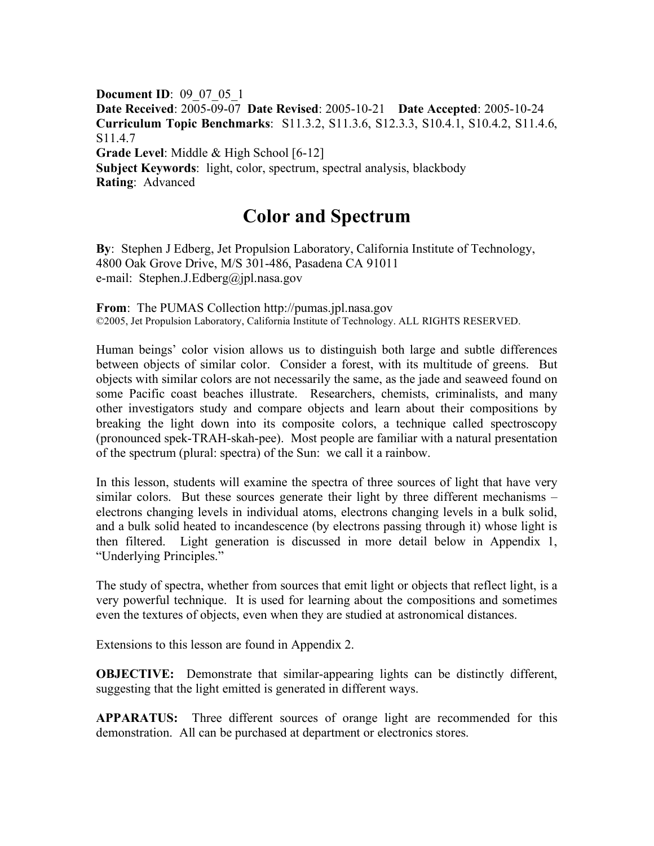**Document ID**: 09\_07\_05\_1 **Date Received**: 2005-09-07 **Date Revised**: 2005-10-21 **Date Accepted**: 2005-10-24 **Curriculum Topic Benchmarks**: S11.3.2, S11.3.6, S12.3.3, S10.4.1, S10.4.2, S11.4.6, S<sub>11</sub>.4.7 **Grade Level**: Middle & High School [6-12] **Subject Keywords**: light, color, spectrum, spectral analysis, blackbody **Rating**: Advanced

## **Color and Spectrum**

**By**: Stephen J Edberg, Jet Propulsion Laboratory, California Institute of Technology, 4800 Oak Grove Drive, M/S 301-486, Pasadena CA 91011 e-mail: Stephen.J.Edberg@jpl.nasa.gov

**From**: The PUMAS Collection http://pumas.jpl.nasa.gov ©2005, Jet Propulsion Laboratory, California Institute of Technology. ALL RIGHTS RESERVED.

Human beings' color vision allows us to distinguish both large and subtle differences between objects of similar color. Consider a forest, with its multitude of greens. But objects with similar colors are not necessarily the same, as the jade and seaweed found on some Pacific coast beaches illustrate. Researchers, chemists, criminalists, and many other investigators study and compare objects and learn about their compositions by breaking the light down into its composite colors, a technique called spectroscopy (pronounced spek-TRAH-skah-pee). Most people are familiar with a natural presentation of the spectrum (plural: spectra) of the Sun: we call it a rainbow.

In this lesson, students will examine the spectra of three sources of light that have very similar colors. But these sources generate their light by three different mechanisms – electrons changing levels in individual atoms, electrons changing levels in a bulk solid, and a bulk solid heated to incandescence (by electrons passing through it) whose light is then filtered. Light generation is discussed in more detail below in Appendix 1, "Underlying Principles."

The study of spectra, whether from sources that emit light or objects that reflect light, is a very powerful technique. It is used for learning about the compositions and sometimes even the textures of objects, even when they are studied at astronomical distances.

Extensions to this lesson are found in Appendix 2.

**OBJECTIVE:** Demonstrate that similar-appearing lights can be distinctly different, suggesting that the light emitted is generated in different ways.

**APPARATUS:** Three different sources of orange light are recommended for this demonstration. All can be purchased at department or electronics stores.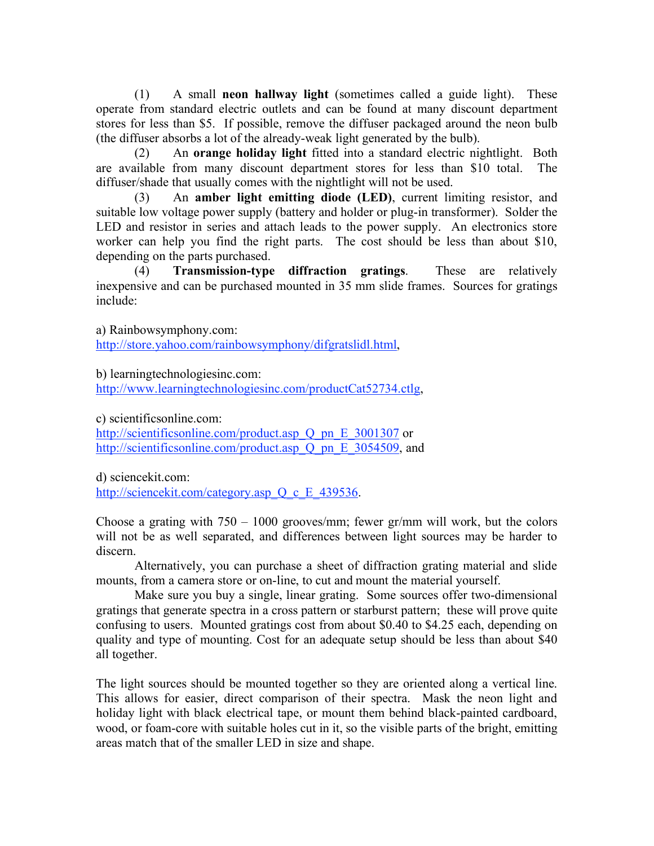(1) A small **neon hallway light** (sometimes called a guide light). These operate from standard electric outlets and can be found at many discount department stores for less than \$5. If possible, remove the diffuser packaged around the neon bulb (the diffuser absorbs a lot of the already-weak light generated by the bulb).

(2) An **orange holiday light** fitted into a standard electric nightlight. Both are available from many discount department stores for less than \$10 total. The diffuser/shade that usually comes with the nightlight will not be used.

(3) An **amber light emitting diode (LED)**, current limiting resistor, and suitable low voltage power supply (battery and holder or plug-in transformer). Solder the LED and resistor in series and attach leads to the power supply. An electronics store worker can help you find the right parts. The cost should be less than about \$10, depending on the parts purchased.

(4) **Transmission-type diffraction gratings**. These are relatively inexpensive and can be purchased mounted in 35 mm slide frames. Sources for gratings include:

a) Rainbowsymphony.com:

http://store.yahoo.com/rainbowsymphony/difgratslidl.html,

b) learningtechnologiesinc.com:

http://www.learningtechnologiesinc.com/productCat52734.ctlg,

c) scientificsonline.com:

http://scientificsonline.com/product.asp Q pn E 3001307 or http://scientificsonline.com/product.asp Q\_pn\_E\_3054509, and

d) sciencekit.com: http://sciencekit.com/category.asp Q c E 439536.

Choose a grating with  $750 - 1000$  grooves/mm; fewer gr/mm will work, but the colors will not be as well separated, and differences between light sources may be harder to discern.

Alternatively, you can purchase a sheet of diffraction grating material and slide mounts, from a camera store or on-line, to cut and mount the material yourself.

Make sure you buy a single, linear grating. Some sources offer two-dimensional gratings that generate spectra in a cross pattern or starburst pattern; these will prove quite confusing to users. Mounted gratings cost from about \$0.40 to \$4.25 each, depending on quality and type of mounting. Cost for an adequate setup should be less than about \$40 all together.

The light sources should be mounted together so they are oriented along a vertical line. This allows for easier, direct comparison of their spectra. Mask the neon light and holiday light with black electrical tape, or mount them behind black-painted cardboard, wood, or foam-core with suitable holes cut in it, so the visible parts of the bright, emitting areas match that of the smaller LED in size and shape.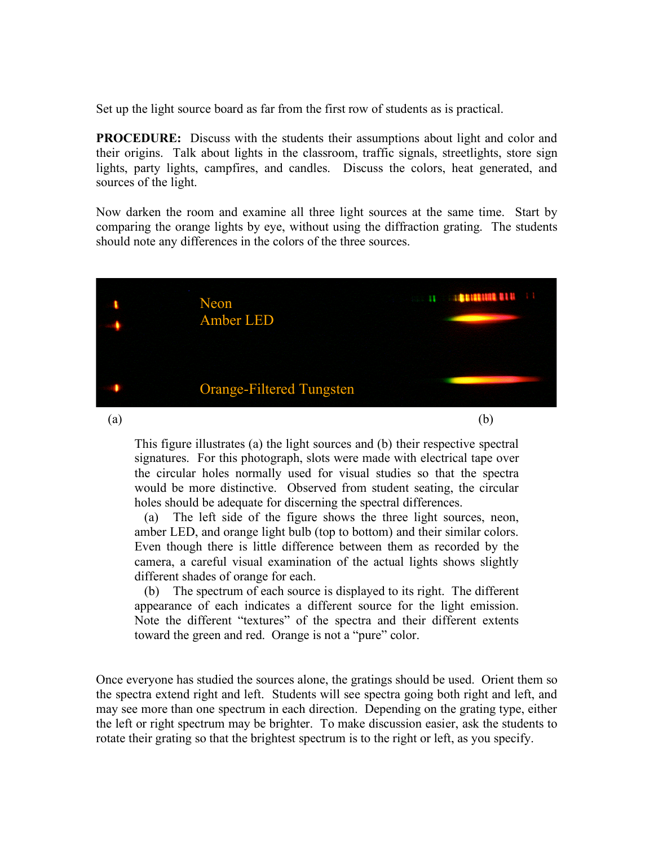Set up the light source board as far from the first row of students as is practical.

**PROCEDURE:** Discuss with the students their assumptions about light and color and their origins. Talk about lights in the classroom, traffic signals, streetlights, store sign lights, party lights, campfires, and candles. Discuss the colors, heat generated, and sources of the light.

Now darken the room and examine all three light sources at the same time. Start by comparing the orange lights by eye, without using the diffraction grating. The students should note any differences in the colors of the three sources.



This figure illustrates (a) the light sources and (b) their respective spectral signatures. For this photograph, slots were made with electrical tape over the circular holes normally used for visual studies so that the spectra would be more distinctive. Observed from student seating, the circular holes should be adequate for discerning the spectral differences.

(a) The left side of the figure shows the three light sources, neon, amber LED, and orange light bulb (top to bottom) and their similar colors. Even though there is little difference between them as recorded by the camera, a careful visual examination of the actual lights shows slightly different shades of orange for each.

(b) The spectrum of each source is displayed to its right. The different appearance of each indicates a different source for the light emission. Note the different "textures" of the spectra and their different extents toward the green and red. Orange is not a "pure" color.

Once everyone has studied the sources alone, the gratings should be used. Orient them so the spectra extend right and left. Students will see spectra going both right and left, and may see more than one spectrum in each direction. Depending on the grating type, either the left or right spectrum may be brighter. To make discussion easier, ask the students to rotate their grating so that the brightest spectrum is to the right or left, as you specify.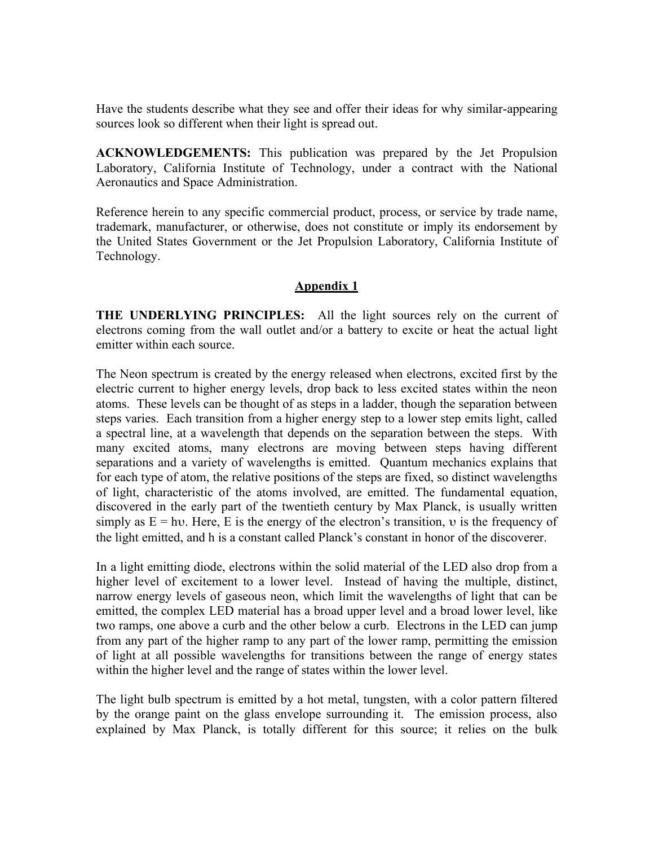Have the students describe what they see and offer their ideas for why similar-appearing sources look so different when their light is spread out.

**ACKNOWLEDGEMENTS:** This publication was prepared by the Jet Propulsion Laboratory, California Institute of Technology, under a contract with the National Aeronautics and Space Administration.

Reference herein to any specific commercial product, process, or service by trade name, trademark, manufacturer, or otherwise, does not constitute or imply its endorsement by the United States Government or the Jet Propulsion Laboratory, California Institute of Technology.

## **Appendix 1**

**THE UNDERLYING PRINCIPLES:** All the light sources rely on the current of electrons coming from the wall outlet and/or a battery to excite or heat the actual light emitter within each source.

The Neon spectrum is created by the energy released when electrons, excited first by the electric current to higher energy levels, drop back to less excited states within the neon atoms. These levels can be thought of as steps in a ladder, though the separation between steps varies. Each transition from a higher energy step to a lower step emits light, called a spectral line, at a wavelength that depends on the separation between the steps. With many excited atoms, many electrons are moving between steps having different separations and a variety of wavelengths is emitted. Quantum mechanics explains that for each type of atom, the relative positions of the steps are fixed, so distinct wavelengths of light, characteristic of the atoms involved, are emitted. The fundamental equation, discovered in the early part of the twentieth century by Max Planck, is usually written simply as  $E = hv$ . Here, E is the energy of the electron's transition, v is the frequency of the light emitted, and h is a constant called Planck's constant in honor of the discoverer.

In a light emitting diode, electrons within the solid material of the LED also drop from a higher level of excitement to a lower level. Instead of having the multiple, distinct, narrow energy levels of gaseous neon, which limit the wavelengths of light that can be emitted, the complex LED material has a broad upper level and a broad lower level, like two ramps, one above a curb and the other below a curb. Electrons in the LED can jump from any part of the higher ramp to any part of the lower ramp, permitting the emission of light at all possible wavelengths for transitions between the range of energy states within the higher level and the range of states within the lower level.

The light bulb spectrum is emitted by a hot metal, tungsten, with a color pattern filtered by the orange paint on the glass envelope surrounding it. The emission process, also explained by Max Planck, is totally different for this source; it relies on the bulk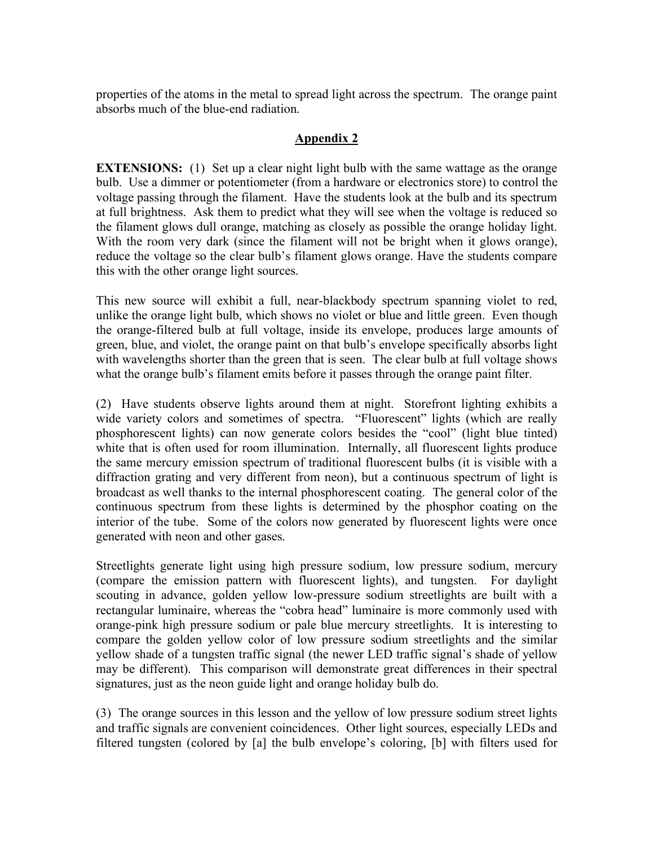properties of the atoms in the metal to spread light across the spectrum. The orange paint absorbs much of the blue-end radiation.

## **Appendix 2**

**EXTENSIONS:** (1) Set up a clear night light bulb with the same wattage as the orange bulb. Use a dimmer or potentiometer (from a hardware or electronics store) to control the voltage passing through the filament. Have the students look at the bulb and its spectrum at full brightness. Ask them to predict what they will see when the voltage is reduced so the filament glows dull orange, matching as closely as possible the orange holiday light. With the room very dark (since the filament will not be bright when it glows orange), reduce the voltage so the clear bulb's filament glows orange. Have the students compare this with the other orange light sources.

This new source will exhibit a full, near-blackbody spectrum spanning violet to red, unlike the orange light bulb, which shows no violet or blue and little green. Even though the orange-filtered bulb at full voltage, inside its envelope, produces large amounts of green, blue, and violet, the orange paint on that bulb's envelope specifically absorbs light with wavelengths shorter than the green that is seen. The clear bulb at full voltage shows what the orange bulb's filament emits before it passes through the orange paint filter.

(2) Have students observe lights around them at night. Storefront lighting exhibits a wide variety colors and sometimes of spectra. "Fluorescent" lights (which are really phosphorescent lights) can now generate colors besides the "cool" (light blue tinted) white that is often used for room illumination. Internally, all fluorescent lights produce the same mercury emission spectrum of traditional fluorescent bulbs (it is visible with a diffraction grating and very different from neon), but a continuous spectrum of light is broadcast as well thanks to the internal phosphorescent coating. The general color of the continuous spectrum from these lights is determined by the phosphor coating on the interior of the tube. Some of the colors now generated by fluorescent lights were once generated with neon and other gases.

Streetlights generate light using high pressure sodium, low pressure sodium, mercury (compare the emission pattern with fluorescent lights), and tungsten. For daylight scouting in advance, golden yellow low-pressure sodium streetlights are built with a rectangular luminaire, whereas the "cobra head" luminaire is more commonly used with orange-pink high pressure sodium or pale blue mercury streetlights. It is interesting to compare the golden yellow color of low pressure sodium streetlights and the similar yellow shade of a tungsten traffic signal (the newer LED traffic signal's shade of yellow may be different). This comparison will demonstrate great differences in their spectral signatures, just as the neon guide light and orange holiday bulb do.

(3) The orange sources in this lesson and the yellow of low pressure sodium street lights and traffic signals are convenient coincidences. Other light sources, especially LEDs and filtered tungsten (colored by [a] the bulb envelope's coloring, [b] with filters used for